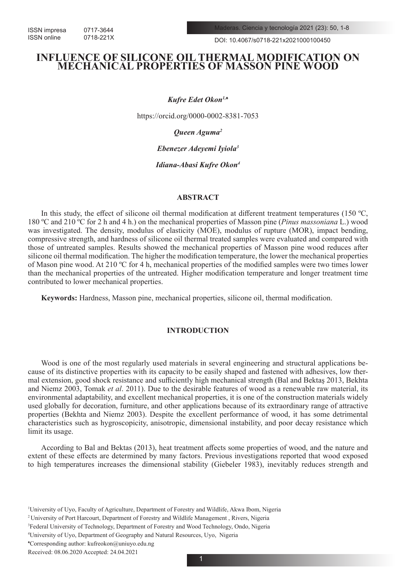DOI: 10.4067/s0718-221x2021000100450

# **INFLUENCE OF SILICONE OIL THERMAL MODIFICATION ON MECHANICAL PROPERTIES OF MASSON PINE WOOD**

*Kufre Edet Okon1,♠* 

https://orcid.org/0000-0002-8381-7053

*Queen Aguma2*

*Ebenezer Adeyemi Iyiola3*

*Idiana-Abasi Kufre Okon4*

## **ABSTRACT**

In this study, the effect of silicone oil thermal modification at different treatment temperatures (150 °C, 180 ºC and 210 ºC for 2 h and 4 h.) on the mechanical properties of Masson pine (*Pinus massoniana* L.) wood was investigated. The density, modulus of elasticity (MOE), modulus of rupture (MOR), impact bending, compressive strength, and hardness of silicone oil thermal treated samples were evaluated and compared with those of untreated samples. Results showed the mechanical properties of Masson pine wood reduces after silicone oil thermal modification. The higher the modification temperature, the lower the mechanical properties of Mason pine wood. At 210 ºC for 4 h, mechanical properties of the modified samples were two times lower than the mechanical properties of the untreated. Higher modification temperature and longer treatment time contributed to lower mechanical properties.

**Keywords:** Hardness, Masson pine, mechanical properties, silicone oil, thermal modification.

## **INTRODUCTION**

Wood is one of the most regularly used materials in several engineering and structural applications because of its distinctive properties with its capacity to be easily shaped and fastened with adhesives, low thermal extension, good shock resistance and sufficiently high mechanical strength (Bal and Bektaş 2013, Bekhta and Niemz 2003, Tomak *et al*. 2011). Due to the desirable features of wood as a renewable raw material, its environmental adaptability, and excellent mechanical properties, it is one of the construction materials widely used globally for decoration, furniture, and other applications because of its extraordinary range of attractive properties (Bekhta and Niemz 2003). Despite the excellent performance of wood, it has some detrimental characteristics such as hygroscopicity, anisotropic, dimensional instability, and poor decay resistance which limit its usage.

According to Bal and Bektas (2013), heat treatment affects some properties of wood, and the nature and extent of these effects are determined by many factors. Previous investigations reported that wood exposed to high temperatures increases the dimensional stability (Giebeler 1983), inevitably reduces strength and

<sup>1</sup> University of Uyo, Faculty of Agriculture, Department of Forestry and Wildlife, Akwa Ibom, Nigeria

<sup>&</sup>lt;sup>2</sup> University of Port Harcourt, Department of Forestry and Wildlife Management, Rivers, Nigeria

<sup>3</sup> Federal University of Technology, Department of Forestry and Wood Technology, Ondo, Nigeria

<sup>4</sup> University of Uyo, Department of Geography and Natural Resources, Uyo, Nigeria

<sup>♠</sup> Corresponding author: kufreokon@uniuyo.edu.ng

Received: 08.06.2020 Accepted: 24.04.2021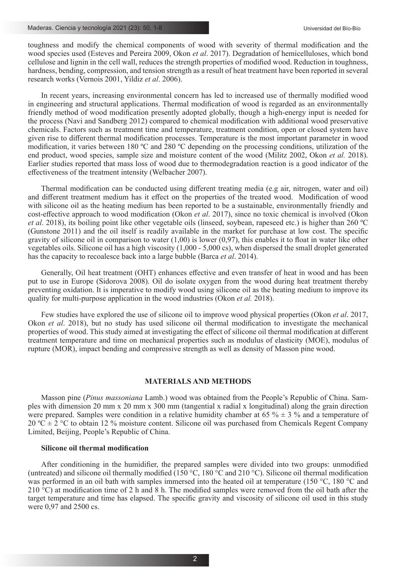toughness and modify the chemical components of wood with severity of thermal modification and the wood species used (Esteves and Pereira 2009, Okon *et al*. 2017). Degradation of hemicelluloses, which bond cellulose and lignin in the cell wall, reduces the strength properties of modified wood. Reduction in toughness, hardness, bending, compression, and tension strength as a result of heat treatment have been reported in several research works (Vernois 2001, Yildiz *et al*. 2006).

In recent years, increasing environmental concern has led to increased use of thermally modified wood in engineering and structural applications. Thermal modification of wood is regarded as an environmentally friendly method of wood modification presently adopted globally, though a high-energy input is needed for the process (Navi and Sandberg 2012) compared to chemical modification with additional wood preservative chemicals. Factors such as treatment time and temperature, treatment condition, open or closed system have given rise to different thermal modification processes. Temperature is the most important parameter in wood modification, it varies between 180 ºC and 280 ºC depending on the processing conditions, utilization of the end product, wood species, sample size and moisture content of the wood (Militz 2002, Okon *et al.* 2018). Earlier studies reported that mass loss of wood due to thermodegradation reaction is a good indicator of the effectiveness of the treatment intensity (Welbacher 2007).

Thermal modification can be conducted using different treating media (e.g air, nitrogen, water and oil) and different treatment medium has it effect on the properties of the treated wood. Modification of wood with silicone oil as the heating medium has been reported to be a sustainable, environmentally friendly and cost-effective approach to wood modification (Okon *et al*. 2017), since no toxic chemical is involved (Okon *et al*. 2018), its boiling point like other vegetable oils (linseed, soybean, rapeseed etc.) is higher than 260 ºC (Gunstone 2011) and the oil itself is readily available in the market for purchase at low cost. The specific gravity of silicone oil in comparison to water (1,00) is lower (0,97), this enables it to float in water like other vegetables oils. Silicone oil has a high viscosity (1,000 - 5,000 cs), when dispersed the small droplet generated has the capacity to recoalesce back into a large bubble (Barca *et al*. 2014).

Generally, Oil heat treatment (OHT) enhances effective and even transfer of heat in wood and has been put to use in Europe (Sidorova 2008). Oil do isolate oxygen from the wood during heat treatment thereby preventing oxidation. It is imperative to modify wood using silicone oil as the heating medium to improve its quality for multi-purpose application in the wood industries (Okon *et al.* 2018).

Few studies have explored the use of silicone oil to improve wood physical properties (Okon *et al*. 2017, Okon *et al*. 2018), but no study has used silicone oil thermal modification to investigate the mechanical properties of wood. This study aimed at investigating the effect of silicone oil thermal modification at different treatment temperature and time on mechanical properties such as modulus of elasticity (MOE), modulus of rupture (MOR), impact bending and compressive strength as well as density of Masson pine wood.

## **MATERIALS AND METHODS**

Masson pine (*Pinus massoniana* Lamb.) wood was obtained from the People's Republic of China. Samples with dimension 20 mm x 20 mm x 300 mm (tangential x radial x longitudinal) along the grain direction were prepared. Samples were condition in a relative humidity chamber at 65 %  $\pm$  3 % and a temperature of 20  $^{\circ}$ C  $\pm$  2  $^{\circ}$ C to obtain 12 % moisture content. Silicone oil was purchased from Chemicals Regent Company Limited, Beijing, People's Republic of China.

## **Silicone oil thermal modification**

After conditioning in the humidifier, the prepared samples were divided into two groups: unmodified (untreated) and silicone oil thermally modified (150 °C, 180 °C and 210 °C). Silicone oil thermal modification was performed in an oil bath with samples immersed into the heated oil at temperature (150 °C, 180 °C and 210  $\degree$ C) at modification time of 2 h and 8 h. The modified samples were removed from the oil bath after the target temperature and time has elapsed. The specific gravity and viscosity of silicone oil used in this study were 0,97 and 2500 cs.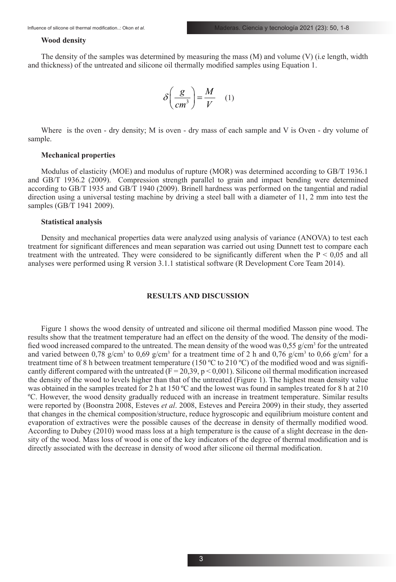#### **Wood density**

The density of the samples was determined by measuring the mass (M) and volume (V) (i.e length, width and thickness) of the untreated and silicone oil thermally modified samples using Equation 1.

$$
\delta \left( \frac{g}{cm^3} \right) = \frac{M}{V} \quad (1)
$$

Where is the oven - dry density; M is oven - dry mass of each sample and V is Oven - dry volume of sample.

#### **Mechanical properties**

Modulus of elasticity (MOE) and modulus of rupture (MOR) was determined according to GB/T 1936.1 and GB/T 1936.2 (2009). Compression strength parallel to grain and impact bending were determined according to GB/T 1935 and GB/T 1940 (2009). Brinell hardness was performed on the tangential and radial direction using a universal testing machine by driving a steel ball with a diameter of 11, 2 mm into test the samples (GB/T 1941 2009).

### **Statistical analysis**

Density and mechanical properties data were analyzed using analysis of variance (ANOVA) to test each treatment for significant differences and mean separation was carried out using Dunnett test to compare each treatment with the untreated. They were considered to be significantly different when the  $P < 0.05$  and all analyses were performed using R version 3.1.1 statistical software (R Development Core Team 2014).

### **RESULTS AND DISCUSSION**

Figure 1 shows the wood density of untreated and silicone oil thermal modified Masson pine wood. The results show that the treatment temperature had an effect on the density of the wood. The density of the modified wood increased compared to the untreated. The mean density of the wood was  $0.55$  g/cm<sup>3</sup> for the untreated and varied between 0,78 g/cm<sup>3</sup> to 0,69 g/cm<sup>3</sup> for a treatment time of 2 h and 0,76 g/cm<sup>3</sup> to 0,66 g/cm<sup>3</sup> for a treatment time of 8 h between treatment temperature (150 °C to 210 °C) of the modified wood and was significantly different compared with the untreated ( $F = 20,39, p \lt 0,001$ ). Silicone oil thermal modification increased the density of the wood to levels higher than that of the untreated (Figure 1). The highest mean density value was obtained in the samples treated for 2 h at 150 °C and the lowest was found in samples treated for 8 h at 210 ºC. However, the wood density gradually reduced with an increase in treatment temperature. Similar results were reported by (Boonstra 2008, Esteves *et al*. 2008, Esteves and Pereira 2009) in their study, they asserted that changes in the chemical composition/structure, reduce hygroscopic and equilibrium moisture content and evaporation of extractives were the possible causes of the decrease in density of thermally modified wood. According to Dubey (2010) wood mass loss at a high temperature is the cause of a slight decrease in the density of the wood. Mass loss of wood is one of the key indicators of the degree of thermal modification and is directly associated with the decrease in density of wood after silicone oil thermal modification.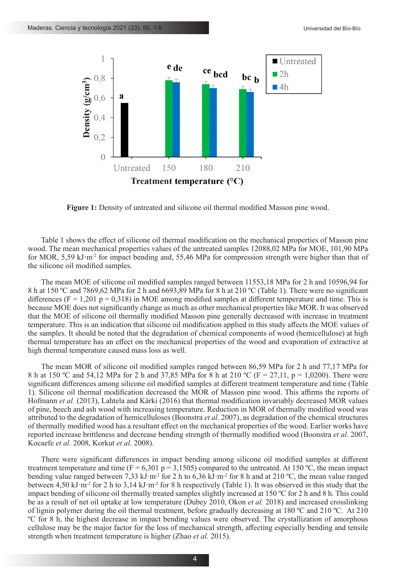

**Figure 1:** Density of untreated and silicone oil thermal modified Masson pine wood.

Table 1 shows the effect of silicone oil thermal modification on the mechanical properties of Masson pine wood. The mean mechanical properties values of the untreated samples 12088,02 MPa for MOE, 101,90 MPa for MOR, 5,59 kJ**·**m-2 for impact bending and, 55,46 MPa for compression strength were higher than that of the silicone oil modified samples.

The mean MOE of silicone oil modified samples ranged between 11553,18 MPa for 2 h and 10596,94 for 8 h at 150 ºC and 7869,62 MPa for 2 h and 6693,89 MPa for 8 h at 210 ºC (Table 1). There were no significant differences ( $F = 1,201$  p = 0,318) in MOE among modified samples at different temperature and time. This is because MOE does not significantly change as much as other mechanical properties like MOR. It was observed that the MOE of silicone oil thermally modified Masson pine generally decreased with increase in treatment temperature. This is an indication that silicone oil modification applied in this study affects the MOE values of the samples. It should be noted that the degradation of chemical components of wood (hemicellulose) at high thermal temperature has an effect on the mechanical properties of the wood and evaporation of extractive at high thermal temperature caused mass loss as well.

The mean MOR of silicone oil modified samples ranged between 86,59 MPa for 2 h and 77,17 MPa for 8 h at 150 °C and 54,12 MPa for 2 h and 37,85 MPa for 8 h at 210 °C (F = 27,11, p = 1,0200). There were significant differences among silicone oil modified samples at different treatment temperature and time (Table 1). Silicone oil thermal modification decreased the MOR of Masson pine wood. This affirms the reports of Hofmann *et al.* (2013), Lahtela and Kärki (2016) that thermal modification invariably decreased MOR values of pine, beech and ash wood with increasing temperature. Reduction in MOR of thermally modified wood was attributed to the degradation of hemicelluloses (Boonstra *et al*. 2007), as degradation of the chemical structures of thermally modified wood has a resultant effect on the mechanical properties of the wood. Earlier works have reported increase brittleness and decrease bending strength of thermally modified wood (Boonstra *et al.* 2007, Kocaefe *et al*. 2008, Korkut *et al*. 2008).

There were significant differences in impact bending among silicone oil modified samples at different treatment temperature and time (F = 6,301 p = 3,1505) compared to the untreated. At 150 °C, the mean impact bending value ranged between 7,33 kJ·m<sup>-2</sup> for 2 h to 6,36 kJ·m<sup>-2</sup> for 8 h and at 210 °C, the mean value ranged between 4,50 kJ·m<sup>-2</sup> for 2 h to 3,14 kJ·m<sup>-2</sup> for 8 h respectively (Table 1). It was observed in this study that the impact bending of silicone oil thermally treated samples slightly increased at 150 ºC for 2 h and 8 h. This could be as a result of net oil uptake at low temperature (Dubey 2010, Okon *et al.* 2018) and increased crosslinking of lignin polymer during the oil thermal treatment, before gradually decreasing at 180 ºC and 210 ºC. At 210 ºC for 8 h, the highest decrease in impact bending values were observed. The crystallization of amorphous cellulose may be the major factor for the loss of mechanical strength, affecting especially bending and tensile strength when treatment temperature is higher (Zhao *et al.* 2015).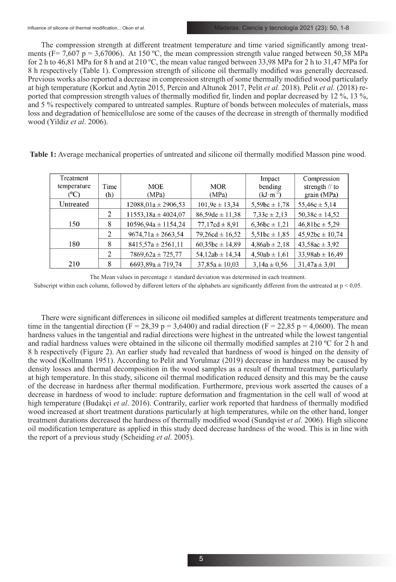The compression strength at different treatment temperature and time varied significantly among treatments (F= 7,607 p = 3,67006). At 150 °C, the mean compression strength value ranged between 50,38 MPa for 2 h to 46,81 MPa for 8 h and at 210 ºC, the mean value ranged between 33,98 MPa for 2 h to 31,47 MPa for 8 h respectively (Table 1). Compression strength of silicone oil thermally modified was generally decreased. Previous works also reported a decrease in compression strength of some thermally modified wood particularly at high temperature (Korkut and Aytin 2015, Percin and Altunok 2017, Pelit *et al.* 2018). Pelit *et al.* (2018) reported that compression strength values of thermally modified fir, linden and poplar decreased by 12 %, 13 %, and 5 % respectively compared to untreated samples. Rupture of bonds between molecules of materials, mass loss and degradation of hemicellulose are some of the causes of the decrease in strength of thermally modified wood (Yildiz *et al*. 2006).

**Table 1:** Average mechanical properties of untreated and silicone oil thermally modified Masson pine wood.

| Treatment   |                |                           |                     | Impact            | Compression                |
|-------------|----------------|---------------------------|---------------------|-------------------|----------------------------|
| temperature | Time           | <b>MOE</b>                | <b>MOR</b>          | bending           | strength $\frac{1}{10}$ to |
| (°C)        | (h)            | (MPa)                     | (MPa)               | $(kJ·m-2)$        | grain (MPa)                |
| Untreated   |                | $12088,01a \pm 2906,53$   | $101.9e \pm 13.34$  | 5,59bc $\pm$ 1,78 | $55,46c \pm 5,14$          |
|             | 2              | $11553, 18a \pm 4024, 07$ | $86,59de \pm 11,38$ | $7.33c \pm 2.13$  | $50,38c \pm 14,52$         |
| 150         | 8              | $10596,94a \pm 1154,24$   | $77,17cd \pm 8,91$  | $6,36bc \pm 1,21$ | $46,81bc \pm 5,29$         |
|             | 2              | $9674.71a \pm 2663.54$    | $79.26cd \pm 16.52$ | 5,51bc $\pm$ 1,85 | $45.92bc \pm 10.74$        |
| 180         | 8              | $8415,57a \pm 2561,11$    | $60.35bc \pm 14.89$ | $4,86ab \pm 2,18$ | $43,58ac \pm 3,92$         |
|             | $\mathfrak{D}$ | $7869,62a \pm 725,77$     | $54,12ab \pm 14,34$ | $4,50ab \pm 1,61$ | $33,98ab \pm 16,49$        |
| 210         | 8              | $6693.89a \pm 719.74$     | $37.85a \pm 10.03$  | $3.14a \pm 0.56$  | $31.47a \pm 3.01$          |

The Mean values in percentage  $\pm$  standard deviation was determined in each treatment.

Subscript within each column, followed by different letters of the alphabets are significantly different from the untreated at  $p < 0.05$ .

There were significant differences in silicone oil modified samples at different treatments temperature and time in the tangential direction (F = 28,39 p = 3,6400) and radial direction (F = 22,85 p = 4,0600). The mean hardness values in the tangential and radial directions were highest in the untreated while the lowest tangential and radial hardness values were obtained in the silicone oil thermally modified samples at 210 ºC for 2 h and 8 h respectively (Figure 2). An earlier study had revealed that hardness of wood is hinged on the density of the wood (Kollmann 1951). According to Pelit and Yorulmaz (2019) decrease in hardness may be caused by density losses and thermal decomposition in the wood samples as a result of thermal treatment, particularly at high temperature. In this study, silicone oil thermal modification reduced density and this may be the cause of the decrease in hardness after thermal modification. Furthermore, previous work asserted the causes of a decrease in hardness of wood to include: rupture deformation and fragmentation in the cell wall of wood at high temperature (Budakçi *et al*. 2016). Contrarily, earlier work reported that hardness of thermally modified wood increased at short treatment durations particularly at high temperatures, while on the other hand, longer treatment durations decreased the hardness of thermally modified wood (Sundqvist *et al*. 2006). High silicone oil modification temperature as applied in this study deed decrease hardness of the wood. This is in line with the report of a previous study (Scheiding *et al*. 2005).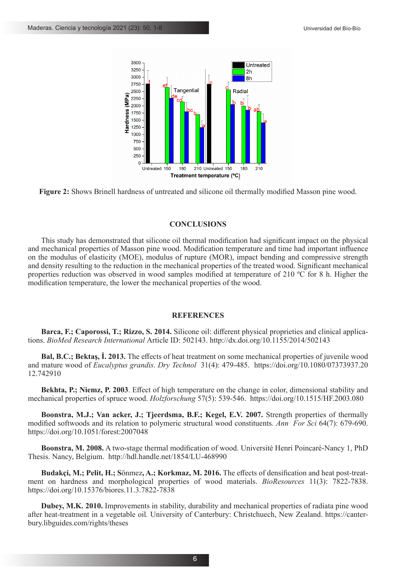

**Figure 2:** Shows Brinell hardness of untreated and silicone oil thermally modified Masson pine wood.

## **CONCLUSIONS**

This study has demonstrated that silicone oil thermal modification had significant impact on the physical and mechanical properties of Masson pine wood. Modification temperature and time had important influence on the modulus of elasticity (MOE), modulus of rupture (MOR), impact bending and compressive strength and density resulting to the reduction in the mechanical properties of the treated wood. Significant mechanical properties reduction was observed in wood samples modified at temperature of 210 ºC for 8 h. Higher the modification temperature, the lower the mechanical properties of the wood.

## **REFERENCES**

**Barca, F.; Caporossi, T.; Rizzo, S. 2014.** Silicone oil: different physical proprieties and clinical applications. *BioMed Research International* Article ID: 502143. http://dx.doi.org/10.1155/2014/502143

**Bal, B.C.; Bektaş, İ. 2013.** The effects of heat treatment on some mechanical properties of juvenile wood and mature wood of *Eucalyptus grandis*. *Dry Technol* 31(4): 479-485. https://doi.org/10.1080/07373937.20 12.742910

**Bekhta, P.; Niemz, P. 2003**. Effect of high temperature on the change in color, dimensional stability and mechanical properties of spruce wood. *Holzforschung* 57(5): 539-546. https://doi.org/10.1515/HF.2003.080

**Boonstra, M.J.; Van acker, J.; Tjeerdsma, B.F.; Kegel, E.V. 2007.** Strength properties of thermally modified softwoods and its relation to polymeric structural wood constituents. *Ann For Sci* 64(7): 679-690. https://doi.org/10.1051/forest:2007048

**Boonstra, M. 2008.** A two-stage thermal modification of wood. Université Henri Poincaré-Nancy 1, PhD Thesis. Nancy, Belgium. http://hdl.handle.net/1854/LU-468990

**Budakçi, M.; Pelit, H.; S**önmez**, A.; Korkmaz, M. 2016.** The effects of densification and heat post-treatment on hardness and morphological properties of wood materials. *BioResources* 11(3): 7822-7838. https://doi.org/10.15376/biores.11.3.7822-7838

**Dubey, M.K. 2010.** Improvements in stability, durability and mechanical properties of radiata pine wood after heat-treatment in a vegetable oil*.* University of Canterbury: Christchuech, New Zealand. https://canterbury.libguides.com/rights/theses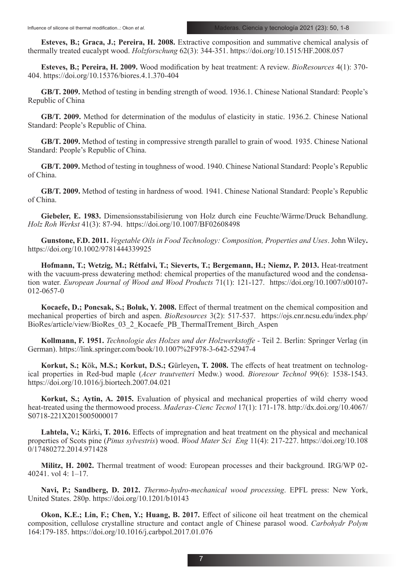**Esteves, B.; Graca, J.; Pereira, H. 2008.** Extractive composition and summative chemical analysis of thermally treated eucalypt wood. *Holzforschung* 62(3): 344-351. https://doi.org/10.1515/HF.2008.057

**Esteves, B.; Pereira, H. 2009.** Wood modification by heat treatment: A review. *BioResources* 4(1): 370- 404. https://doi.org/10.15376/biores.4.1.370-404

**GB/T. 2009.** Method of testing in bending strength of wood. 1936.1. Chinese National Standard: People's Republic of China

**GB/T. 2009.** Method for determination of the modulus of elasticity in static. 1936.2. Chinese National Standard: People's Republic of China.

**GB/T. 2009.** Method of testing in compressive strength parallel to grain of wood*.* 1935. Chinese National Standard: People's Republic of China.

**GB/T. 2009.** Method of testing in toughness of wood. 1940. Chinese National Standard: People's Republic of China.

**GB/T. 2009.** Method of testing in hardness of wood*.* 1941. Chinese National Standard: People's Republic of China.

**Giebeler, E. 1983.** Dimensionsstabilisierung von Holz durch eine Feuchte/Wärme/Druck Behandlung. *Holz Roh Werkst* 41(3): 87-94. https://doi.org/10.1007/BF02608498

**Gunstone, F.D. 2011.** *Vegetable Oils in Food Technology: Composition, Properties and Uses*. John Wiley**.**  https://doi.org/10.1002/9781444339925

**Hofmann, T.; Wetzig, M.; Rétfalvi, T.; Sieverts, T.; Bergemann, H.; Niemz, P. 2013.** Heat-treatment with the vacuum-press dewatering method: chemical properties of the manufactured wood and the condensation water. *European Journal of Wood and Wood Products* 71(1): 121-127. https://doi.org/10.1007/s00107- 012-0657-0

**Kocaefe, D.; Poncsak, S.; Boluk, Y. 2008.** Effect of thermal treatment on the chemical composition and mechanical properties of birch and aspen. *BioResources* 3(2): 517-537. https://ojs.cnr.ncsu.edu/index.php/ BioRes/article/view/BioRes\_03\_2\_Kocaefe\_PB\_ThermalTrement\_Birch\_Aspen

**Kollmann, F. 1951.** *Technologie des Holzes und der Holzwerkstoffe* - Teil 2. Berlin: Springer Verlag (in German). https://link.springer.com/book/10.1007%2F978-3-642-52947-4

**Korkut, S.; K**ök**, M.S.; Korkut, D.S.; G**ürleyen**, T. 2008.** The effects of heat treatment on technological properties in Red-bud maple (*Acer trautvetteri* Medw.) wood. *Bioresour Technol* 99(6): 1538-1543. https://doi.org/10.1016/j.biortech.2007.04.021

**Korkut, S.; Aytin, A. 2015.** Evaluation of physical and mechanical properties of wild cherry wood heat-treated using the thermowood process. *Maderas-Cienc Tecnol* 17(1): 171-178. http://dx.doi.org/10.4067/ S0718-221X2015005000017

**Lahtela, V.; K**ärki**, T. 2016.** Effects of impregnation and heat treatment on the physical and mechanical properties of Scots pine (*Pinus sylvestris*) wood. *Wood Mater Sci Eng* 11(4): 217-227. https://doi.org/10.108 0/17480272.2014.971428

**Militz, H. 2002.** Thermal treatment of wood: European processes and their background. IRG/WP 02- 40241. vol 4: 1–17.

**Navi, P.; Sandberg, D. 2012.** *Thermo-hydro-mechanical wood processing*. EPFL press: New York, United States. 280p. https://doi.org/10.1201/b10143

**Okon, K.E.; Lin, F.; Chen, Y.; Huang, B. 2017.** Effect of silicone oil heat treatment on the chemical composition, cellulose crystalline structure and contact angle of Chinese parasol wood. *Carbohydr Polym* 164:179-185. https://doi.org/10.1016/j.carbpol.2017.01.076